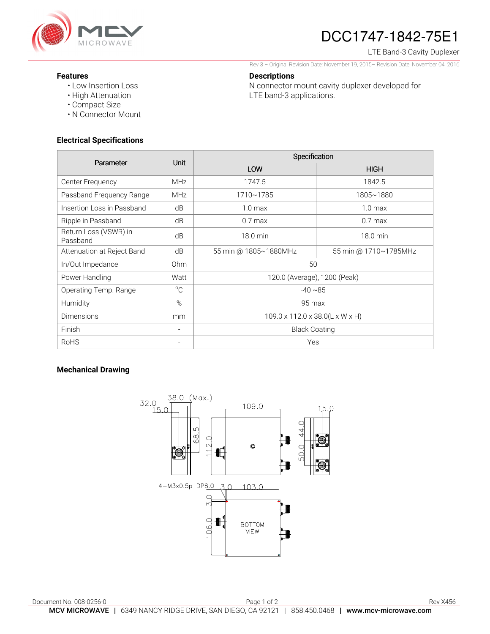

# DCC1747-1842-75E1

#### LTE Band-3 Cavity Duplexer

Rev 3 – Original Revision Date: November 19, 2015– Revision Date: November 04, 2016

N connector mount cavity duplexer developed for

### **Features**

- Low Insertion Loss
- High Attenuation
- Compact Size
- N Connector Mount

### **Electrical Specifications**

| Parameter                         | <b>Unit</b>              | Specification                   |                       |
|-----------------------------------|--------------------------|---------------------------------|-----------------------|
|                                   |                          | LOW                             | <b>HIGH</b>           |
| Center Frequency                  | <b>MHz</b>               | 1747.5                          | 1842.5                |
| Passband Frequency Range          | <b>MHz</b>               | 1710~1785                       | 1805~1880             |
| Insertion Loss in Passband        | dB                       | 1.0 <sub>max</sub>              | 1.0 <sub>max</sub>    |
| Ripple in Passband                | dB                       | $0.7$ max                       | $0.7$ max             |
| Return Loss (VSWR) in<br>Passband | dB                       | 18.0 min                        | 18.0 min              |
| Attenuation at Reject Band        | dB                       | 55 min @ 1805~1880MHz           | 55 min @ 1710~1785MHz |
| In/Out Impedance                  | 0 <sub>hm</sub>          | 50                              |                       |
| Power Handling                    | Watt                     | 120.0 (Average), 1200 (Peak)    |                       |
| Operating Temp. Range             | $^{\circ}C$              | $-40 \sim 85$                   |                       |
| Humidity                          | %                        | 95 max                          |                       |
| <b>Dimensions</b>                 | mm                       | 109.0 x 112.0 x 38.0(L x W x H) |                       |
| Finish                            | $\overline{\phantom{a}}$ | <b>Black Coating</b>            |                       |
| <b>RoHS</b>                       | $\overline{\phantom{a}}$ | Yes                             |                       |

**Descriptions** 

LTE band-3 applications.

## **Mechanical Drawing**